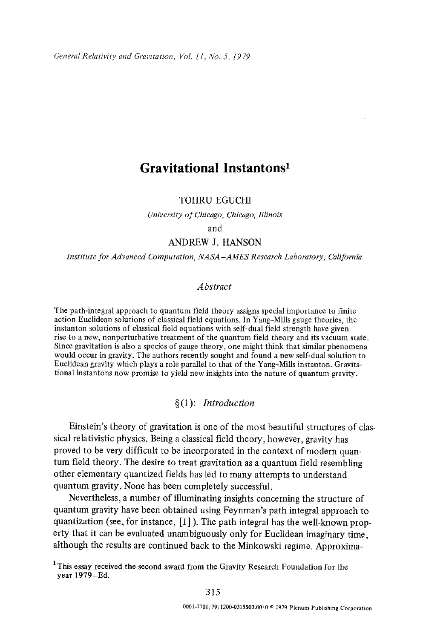# **Gravitational Instantons I**

## TOHRU EGUCHI

*University of Chicago, Chicago, Illinois* 

and

### ANDREW J. HANSON

*Institute for Advanced Computation, NASA -AMES Research Laboratory, California* 

#### *Abstract*

The path-integral approach to quantum field theory assigns special importance to finite action Euclidean solutions of classical field equations. In Yang-Mills gauge theories, the instanton solutions of classical field equations with self-dual field strength have given rise to a new, nonperturbative treatment of the quantum field theory and its vacuum state. Since gravitation is also a species of gauge theory, one might think that similar phenomena would occur in gravity. The authors recently sought and found a new self-dual solution to Euclidean gravity which plays a role parallel to that of the Yang-Mills instanton. Gravitational instantons now promise to yield new insights into the nature of quantum gravity.

#### §(1): *Introduction*

Einstein's theory of gravitation is one of the most beautiful structures of classical relativistic physics. Being a classical field theory, however, gravity has proved to be very difficult to be incorporated in the context of modern quantum field theory. The desire to treat gravitation as a quantum field resembling other elementary quantized fields has led to many attempts to understand quantum gravity. None has been completely successful.

Nevertheless, a number of illuminating insights concerning the structure of quantum gravity have been obtained using Feynman's path integral approach to quantization (see, for instance, [1] ). The path integral has the well-known property that it can be evaluated unambiguously only for Euclidean imaginary time, although the results are continued back to the Minkowski regime. Approxima-

<sup>&</sup>lt;sup>1</sup> This essay received the second award from the Gravity Research Foundation for the year 1979-Ed.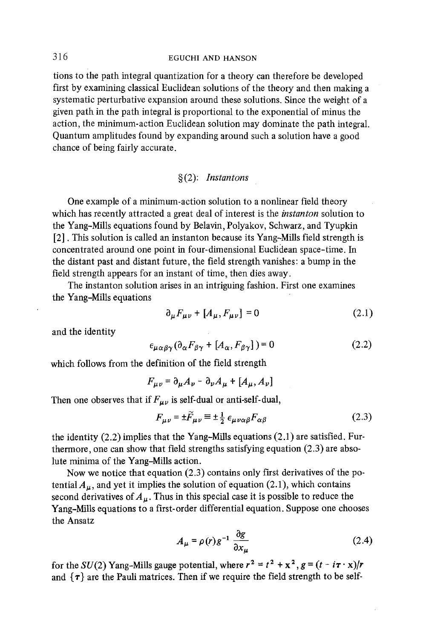tions to the path integral quantization for a theory can therefore be developed first by examining classical Euclidean solutions of the theory and then making a systematic perturbative expansion around these solutions. Since the weight of a given path in the path integral is proportional to the exponential of minus the action, the minimum-action Euclidean solution may dominate the path integral. Quantum amplitudes found by expanding around such a solution have a good chance of being fairly accurate.

#### §(2): Instantons

One example of a minimum-action solution to a nonlinear field theory which has recently attracted a great deal of interest is the *instanton* solution to the Yang-Mills equations found by Belavin, Polyakov, Schwarz, and Tyupkin [2]. This solution is called an instanton because its Yang-Mills field strength is concentrated around one point in four-dimensional Euclidean space-time. In the distant past and distant future, the field strength vanishes: a bump in the field strength appears for an instant of time, then dies away.

The instanton solution arises in an intriguing fashion. First one examines the Yang-Mills equations

$$
\partial_{\mu}F_{\mu\nu} + [A_{\mu}, F_{\mu\nu}] = 0 \qquad (2.1)
$$

and the identity

$$
\epsilon_{\mu\alpha\beta\gamma}(\partial_{\alpha}F_{\beta\gamma} + [A_{\alpha}, F_{\beta\gamma}]) = 0 \tag{2.2}
$$

which follows from the definition of the field strength

$$
F_{\mu\nu} = \partial_{\mu}A_{\nu} - \partial_{\nu}A_{\mu} + [A_{\mu}, A_{\nu}]
$$

Then one observes that *if*  $F_{\mu\nu}$  *is self-dual* or anti-self-dual,

$$
F_{\mu\nu} = \pm \tilde{F}_{\mu\nu} \equiv \pm \frac{1}{2} \epsilon_{\mu\nu\alpha\beta} F_{\alpha\beta} \tag{2.3}
$$

the identity (2.2) implies that the Yang-Mills equations (2.1) are satisfied. Furthermore, one can show that field strengths satisfying equation (2.3) are absolute minima of the Yang-Mills action.

Now we notice that equation (2.3) contains only first derivatives of the potential  $A<sub>u</sub>$ , and yet it implies the solution of equation (2.1), which contains second derivatives of  $A_{\mu}$ . Thus in this special case it is possible to reduce the Yang-Mills equations to a first-order differential equation. Suppose one chooses the Ansatz

$$
A_{\mu} = \rho(r)g^{-1} \frac{\partial g}{\partial x_{\mu}} \tag{2.4}
$$

for the SU(2) Yang-Mills gauge potential, where  $r^2 = t^2 + x^2$ ,  $g = (t - i\tau \cdot x)/r$ and  $\{\tau\}$  are the Pauli matrices. Then if we require the field strength to be self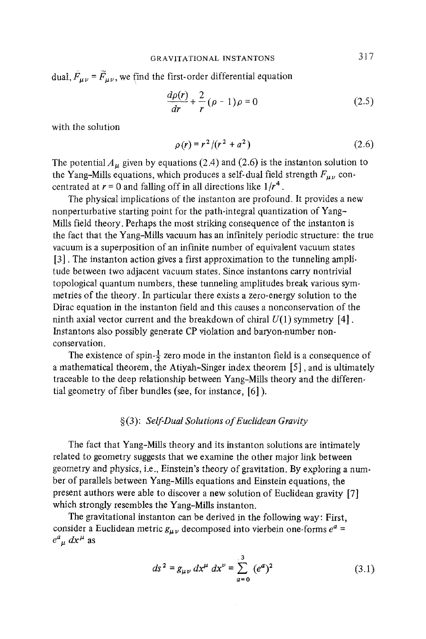dual,  $\bar{F}_{\mu\nu} = \tilde{F}_{\mu\nu}$ , we find the first-order differential equation

$$
\frac{d\rho(r)}{dr} + \frac{2}{r} (\rho - 1)\rho = 0
$$
 (2.5)

with the solution

$$
\rho(r) = r^2/(r^2 + a^2) \tag{2.6}
$$

The potential  $A_\mu$  given by equations (2.4) and (2.6) is the instanton solution to the Yang-Mills equations, which produces a self-dual field strength  $F_{\mu\nu}$  concentrated at  $r = 0$  and falling off in all directions like  $1/r<sup>4</sup>$ .

The physical implications of the instanton are profound. It provides a new nonperturbative starting point for the path-integral quantization of Yang-Mills field theory. Perhaps the most striking consequence of the instanton is the fact that the Yang-Mills vacuum has an infinitely periodic structure: the true vacuum is a superposition of an infinite number of equivalent vacuum states [3]. The instanton action gives a first approximation to the tunneling amplitude between two adjacent vacuum states. Since instantons carry nontrivial topological quantum numbers, these tunneling amplitudes break various symmetries of the theory. In particular there exists a zero-energy solution to the Dirac equation in the instanton field and this causes a nonconservation of the ninth axial vector current and the breakdown of chiral  $U(1)$  symmetry [4]. Instantons also possibly generate CP violation and baryon-number nonconservation.

The existence of spin- $\frac{1}{2}$  zero mode in the instanton field is a consequence of a mathematical theorem, the Atiyah-Singer index theorem [5], and is ultimately traceable to the deep relationship between Yang-MiUs theory and the differential geometry of fiber bundles (see, for instance, [6] ).

#### w *Self-Dual Solutions of Euclidean Gravity*

The fact that Yang-Mills theory and its instanton solutions are intimately related to geometry suggests that we examine the other major link between geometry and physics, i.e., Einstein's theory of gravitation. By exploring a number of parallels between Yang-Mills equations and Einstein equations, the present authors were able to discover a new solution of Euclidean gravity [7] which strongly resembles the Yang-Mills instanton.

The gravitational instanton can be derived in the following way: First, consider a Euclidean metric  $g_{\mu\nu}$  decomposed into vierbein one-forms  $e^a$  =  $e^a{}_\mu dx^\mu$  as

$$
ds^{2} = g_{\mu\nu} dx^{\mu} dx^{\nu} = \sum_{a=0}^{3} (e^{a})^{2}
$$
 (3.1)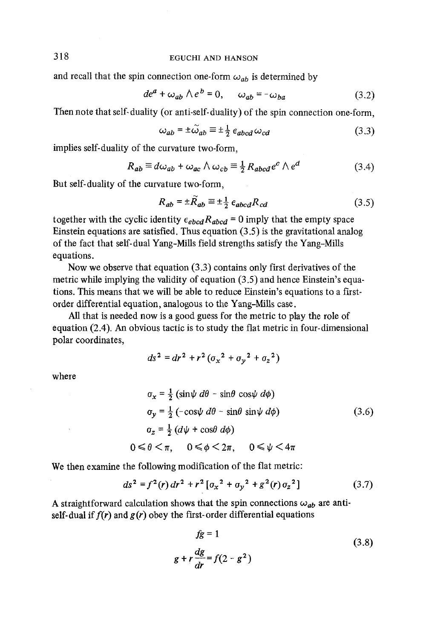and recall that the spin connection one-form  $\omega_{ab}$  is determined by

$$
de^{a} + \omega_{ab} \wedge e^{b} = 0, \qquad \omega_{ab} = -\omega_{ba} \tag{3.2}
$$

Then note that self- duality (or anti-self- duality) of the spin connection one-form,

$$
\omega_{ab} = \pm \widetilde{\omega}_{ab} \equiv \pm \frac{1}{2} \epsilon_{abcd} \omega_{cd} \tag{3.3}
$$

implies self-duality of the curvature two-form,

$$
R_{ab} \equiv d\omega_{ab} + \omega_{ac} \wedge \omega_{cb} \equiv \frac{1}{2} R_{abcd} e^c \wedge e^d \tag{3.4}
$$

But self-duality of the curvature two-form,

$$
R_{ab} = \pm \tilde{R}_{ab} \equiv \pm \frac{1}{2} \epsilon_{abcd} R_{cd} \tag{3.5}
$$

together with the cyclic identity  $\epsilon_{ebcd}R_{abcd} = 0$  imply that the empty space Einstein equations are satisfied. Thus equation (3.5) is the gravitational analog of the fact that self-dual Yang-MiUs field strengths satisfy the Yang-Mills equations.

Now we observe that equation (3.3) contains only first derivatives of the metric while implying the validity of equation (3.5) and hence Einstein's equations. This means that we will be able to reduce Einstein's equations to a firstorder differential equation, analogous to the Yang-Mills case.

All that is needed now is a good guess for the metric to play the role of equation (2.4). An obvious tactic is to study the flat metric in four-dimensional polar coordinates,

$$
ds^{2} = dr^{2} + r^{2} (\sigma_{x}^{2} + \sigma_{y}^{2} + \sigma_{z}^{2})
$$

where

$$
\sigma_x = \frac{1}{2} \left( \sin \psi \, d\theta - \sin \theta \, \cos \psi \, d\phi \right)
$$
  
\n
$$
\sigma_y = \frac{1}{2} \left( -\cos \psi \, d\theta - \sin \theta \, \sin \psi \, d\phi \right)
$$
  
\n
$$
\sigma_z = \frac{1}{2} \left( d\psi + \cos \theta \, d\phi \right)
$$
  
\n
$$
0 \le \theta < \pi, \quad 0 \le \phi < 2\pi, \quad 0 \le \psi < 4\pi
$$

We then examine the following modification of the flat metric:

$$
ds^{2} = f^{2}(r) dr^{2} + r^{2} [\sigma_{x}^{2} + \sigma_{y}^{2} + g^{2}(r) \sigma_{z}^{2}]
$$
 (3.7)

A straightforward calculation shows that the spin connections  $\omega_{ab}$  are antiself-dual if  $f(r)$  and  $g(r)$  obey the first-order differential equations

$$
fg = 1
$$
\n
$$
g + r \frac{dg}{dr} = f(2 - g^2)
$$
\n(3.8)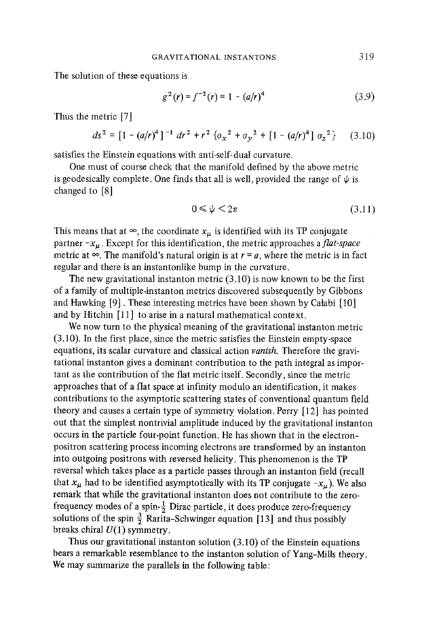The solution of these equations is

$$
g^{2}(r) = f^{-2}(r) = 1 - (a/r)^{4}
$$
 (3.9)

Thus the metric [7]

$$
ds^{2} = [1 - (a/r)^{4}]^{-1} dr^{2} + r^{2} \{ \sigma_{x}^{2} + \sigma_{y}^{2} + [1 - (a/r)^{4}] \sigma_{z}^{2} \} \qquad (3.10)
$$

satisfies the Einstein equations with anti-self-dual curvature.

One must of course check that the manifold defined by the above metric is geodesically complete. One finds that all is well, provided the range of  $\psi$  is changed to [8]

$$
0 \leqslant \psi \leqslant 2\pi \tag{3.11}
$$

This means that at  $\infty$ , the coordinate  $x_{\mu}$  is identified with its TP conjugate partner  $-x_{\mu}$ . Except for this identification, the metric approaches a *flat-space* metric at  $\infty$ . The manifold's natural origin is at  $r = a$ , where the metric is in fact regular and there is an instantonlike bump in the curvature.

The new gravitational instanton metric  $(3.10)$  is now known to be the first of a family of multiple-instanton metrics discovered subsequently by Gibbons and Hawking  $[9]$ . These interesting metrics have been shown by Calabi  $[10]$ and by Hitchin [11] to arise in a natural mathematical context.

We now turn to the physical meaning of the gravitational instanton metric (3.10). In the first place, since the metric satisfies the Einstein empty-space equations, its scalar curvature and classical action *vanish.* Therefore the gravitational instanton gives a dominant contribution to the path integral as important as the contribution of the flat metric itself. Secondly, since the metric approaches that of a flat space at infinity modulo an identification, it makes contributions to the asymptotic scattering states of conventional quantum field theory and causes a certain type of symmetry violation. Perry  $[12]$  has pointed out that the simplest nontrivial amplitude induced by the gravitational instanton occurs in the particle four-point function. He has shown that in the electronpositron scattering process incoming electrons are transformed by an instanton into outgoing positrons with reversed helicity. This phenomenon is the TP reversal which takes place as a particle passes through an instanton field (recall that  $x_{\mu}$  had to be identified asymptotically with its TP conjugate  $-x_{\mu}$ ). We also remark that while the gravitational instanton does not contribute to the zerofrequency modes of a spin- $\frac{1}{2}$  Dirac particle, it does produce zero-frequency solutions of the spin  $\frac{3}{2}$  Rarita-Schwinger equation [13] and thus possibly breaks chiral  $U(1)$  symmetry.

Thus our gravitational instanton solution (3.10) of the Einstein equations bears a remarkable resemblance to the instanton solution of Yang-Mills theory. We may summarize the parallels in the following table: